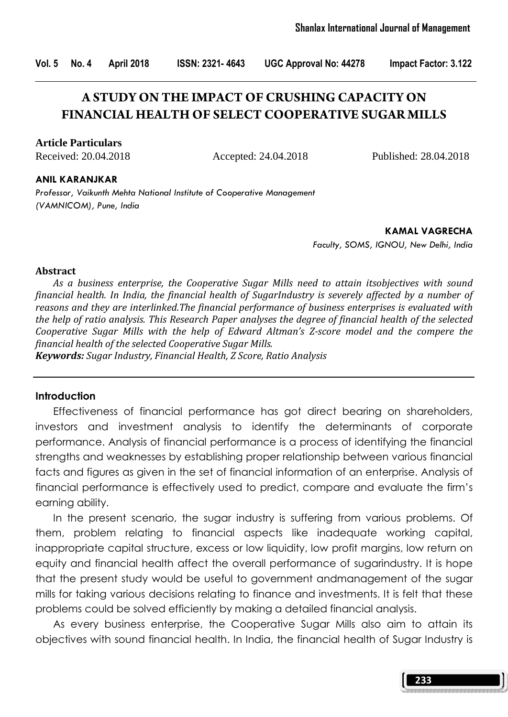Vol. 5 No. 4 April 2018 ISSN: 2321- 4643 UGC Approval No: 44278 Impact Factor: 3.122

# **A STUDY ON THE IMPACT OF CRUSHING CAPACITY ON FINANCIAL HEALTH OF SELECT COOPERATIVE SUGAR MILLS**

**Article Particulars**

Received: 20.04.2018 Accepted: 24.04.2018 Published: 28.04.2018

#### ANIL KARANJKAR

Professor, Vaikunth Mehta National Institute of Cooperative Management (VAMNICOM), Pune, India

> KAMAL VAGRECHA Faculty, SOMS, IGNOU, New Delhi, India

#### Abstract

 As a business enterprise, the Cooperative Sugar Mills need to attain itsobjectives with sound financial health. In India, the financial health of SugarIndustry is severely affected by a number of reasons and they are interlinked.The financial performance of business enterprises is evaluated with the help of ratio analysis. This Research Paper analyses the degree of financial health of the selected Cooperative Sugar Mills with the help of Edward Altman's Z-score model and the compere the financial health of the selected Cooperative Sugar Mills.

Keywords: Sugar Industry, Financial Health, Z Score, Ratio Analysis

### **Introduction**

 Effectiveness of financial performance has got direct bearing on shareholders, investors and investment analysis to identify the determinants of corporate performance. Analysis of financial performance is a process of identifying the financial strengths and weaknesses by establishing proper relationship between various financial facts and figures as given in the set of financial information of an enterprise. Analysis of financial performance is effectively used to predict, compare and evaluate the firm's earning ability.

 In the present scenario, the sugar industry is suffering from various problems. Of them, problem relating to financial aspects like inadequate working capital, inappropriate capital structure, excess or low liquidity, low profit margins, low return on equity and financial health affect the overall performance of sugarindustry. It is hope that the present study would be useful to government andmanagement of the sugar mills for taking various decisions relating to finance and investments. It is felt that these problems could be solved efficiently by making a detailed financial analysis.

 As every business enterprise, the Cooperative Sugar Mills also aim to attain its objectives with sound financial health. In India, the financial health of Sugar Industry is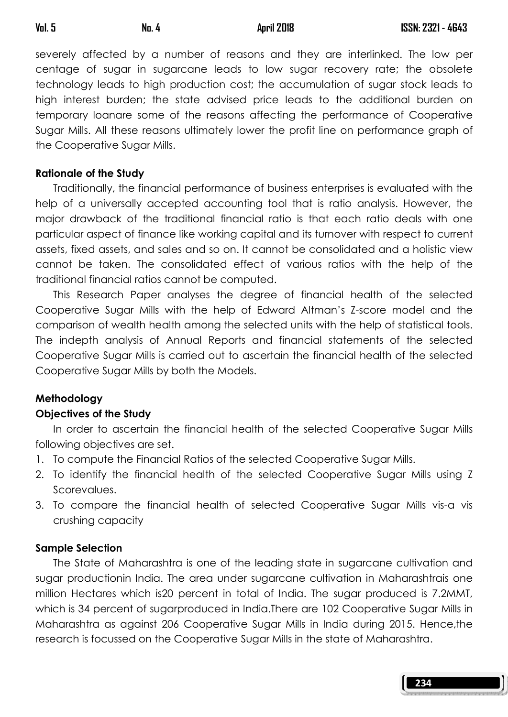severely affected by a number of reasons and they are interlinked. The low per centage of sugar in sugarcane leads to low sugar recovery rate; the obsolete technology leads to high production cost; the accumulation of sugar stock leads to high interest burden; the state advised price leads to the additional burden on temporary loanare some of the reasons affecting the performance of Cooperative Sugar Mills. All these reasons ultimately lower the profit line on performance graph of the Cooperative Sugar Mills.

### Rationale of the Study

 Traditionally, the financial performance of business enterprises is evaluated with the help of a universally accepted accounting tool that is ratio analysis. However, the major drawback of the traditional financial ratio is that each ratio deals with one particular aspect of finance like working capital and its turnover with respect to current assets, fixed assets, and sales and so on. It cannot be consolidated and a holistic view cannot be taken. The consolidated effect of various ratios with the help of the traditional financial ratios cannot be computed.

 This Research Paper analyses the degree of financial health of the selected Cooperative Sugar Mills with the help of Edward Altman's Z-score model and the comparison of wealth health among the selected units with the help of statistical tools. The indepth analysis of Annual Reports and financial statements of the selected Cooperative Sugar Mills is carried out to ascertain the financial health of the selected Cooperative Sugar Mills by both the Models.

## Methodology

## Objectives of the Study

 In order to ascertain the financial health of the selected Cooperative Sugar Mills following objectives are set.

- 1. To compute the Financial Ratios of the selected Cooperative Sugar Mills.
- 2. To identify the financial health of the selected Cooperative Sugar Mills using Z Scorevalues.
- 3. To compare the financial health of selected Cooperative Sugar Mills vis-a vis crushing capacity

## Sample Selection

 The State of Maharashtra is one of the leading state in sugarcane cultivation and sugar productionin India. The area under sugarcane cultivation in Maharashtrais one million Hectares which is20 percent in total of India. The sugar produced is 7.2MMT, which is 34 percent of sugarproduced in India.There are 102 Cooperative Sugar Mills in Maharashtra as against 206 Cooperative Sugar Mills in India during 2015. Hence,the research is focussed on the Cooperative Sugar Mills in the state of Maharashtra.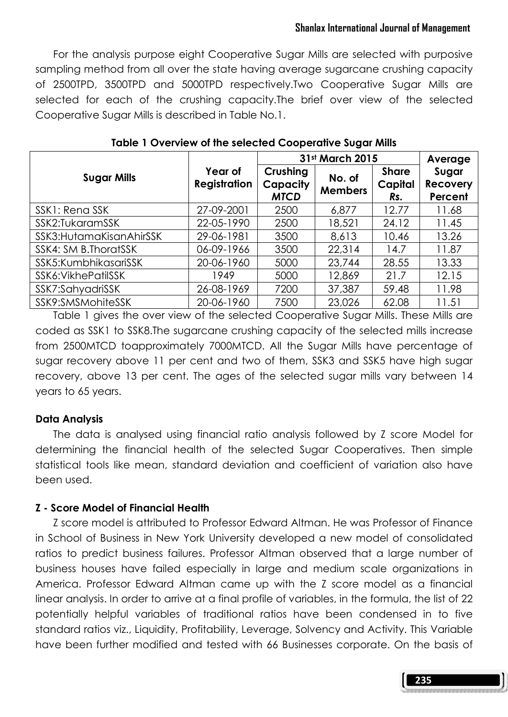### Shanlax International Journal of Management

 For the analysis purpose eight Cooperative Sugar Mills are selected with purposive sampling method from all over the state having average sugarcane crushing capacity of 2500TPD, 3500TPD and 5000TPD respectively.Two Cooperative Sugar Mills are selected for each of the crushing capacity.The brief over view of the selected Cooperative Sugar Mills is described in Table No.1.

|                            |                                | 31st March 2015                     | Average                  |                                |                                     |
|----------------------------|--------------------------------|-------------------------------------|--------------------------|--------------------------------|-------------------------------------|
| <b>Sugar Mills</b>         | Year of<br><b>Registration</b> | Crushing<br>Capacity<br><b>MTCD</b> | No. of<br><b>Members</b> | <b>Share</b><br>Capital<br>Rs. | Sugar<br><b>Recovery</b><br>Percent |
| SSK1: Rena SSK             | 27-09-2001                     | 2500                                | 6,877                    | 12.77                          | 11.68                               |
| SSK2:TukaramSSK            | 22-05-1990                     | 2500                                | 18,521                   | 24.12                          | 11.45                               |
| SSK3: Hutama Kisan AhirSSK | 29-06-1981                     | 3500                                | 8,613                    | 10.46                          | 13.26                               |
| SSK4: SM B.ThoratSSK       | 06-09-1966                     | 3500                                | 22,314                   | 14.7                           | 11.87                               |
| SSK5: KumbhikasariSSK      | 20-06-1960                     | 5000                                | 23,744                   | 28.55                          | 13.33                               |
| SSK6: VikhePatilSSK        | 1949                           | 5000                                | 12,869                   | 21.7                           | 12.15                               |
| SSK7:SahyadriSSK           | 26-08-1969                     | 7200                                | 37,387                   | 59.48                          | 11.98                               |
| SSK9:SMSMohiteSSK          | 20-06-1960                     | 7500                                | 23,026                   | 62.08                          | 11.51                               |

Table 1 Overview of the selected Cooperative Sugar Mills

 Table 1 gives the over view of the selected Cooperative Sugar Mills. These Mills are coded as SSK1 to SSK8.The sugarcane crushing capacity of the selected mills increase from 2500MTCD toapproximately 7000MTCD. All the Sugar Mills have percentage of sugar recovery above 11 per cent and two of them, SSK3 and SSK5 have high sugar recovery, above 13 per cent. The ages of the selected sugar mills vary between 14 years to 65 years.

### Data Analysis

 The data is analysed using financial ratio analysis followed by Z score Model for determining the financial health of the selected Sugar Cooperatives. Then simple statistical tools like mean, standard deviation and coefficient of variation also have been used.

### Z - Score Model of Financial Health

 Z score model is attributed to Professor Edward Altman. He was Professor of Finance in School of Business in New York University developed a new model of consolidated ratios to predict business failures. Professor Altman observed that a large number of business houses have failed especially in large and medium scale organizations in America. Professor Edward Altman came up with the Z score model as a financial linear analysis. In order to arrive at a final profile of variables, in the formula, the list of 22 potentially helpful variables of traditional ratios have been condensed in to five standard ratios viz., Liquidity, Profitability, Leverage, Solvency and Activity. This Variable have been further modified and tested with 66 Businesses corporate. On the basis of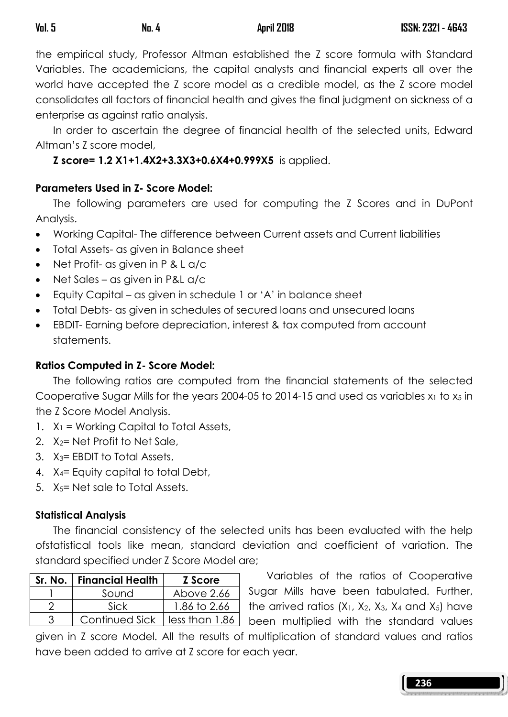the empirical study, Professor Altman established the Z score formula with Standard Variables. The academicians, the capital analysts and financial experts all over the world have accepted the Z score model as a credible model, as the Z score model consolidates all factors of financial health and gives the final judgment on sickness of a enterprise as against ratio analysis.

 In order to ascertain the degree of financial health of the selected units, Edward Altman's Z score model,

## Z score= 1.2 X1+1.4X2+3.3X3+0.6X4+0.999X5 is applied.

## Parameters Used in Z- Score Model:

 The following parameters are used for computing the Z Scores and in DuPont Analysis.

- Working Capital- The difference between Current assets and Current liabilities
- Total Assets- as given in Balance sheet
- Net Profit- as given in P & L a/c
- Net Sales as given in P&L a/c
- Equity Capital as given in schedule 1 or 'A' in balance sheet
- Total Debts- as given in schedules of secured loans and unsecured loans
- EBDIT- Earning before depreciation, interest & tax computed from account statements.

## Ratios Computed in Z- Score Model:

 The following ratios are computed from the financial statements of the selected Cooperative Sugar Mills for the years 2004-05 to 2014-15 and used as variables  $x_1$  to  $x_5$  in the Z Score Model Analysis.

- 1.  $X_1$  = Working Capital to Total Assets,
- 2.  $X_2$ = Net Profit to Net Sale,
- 3. X3= EBDIT to Total Assets,
- 4. X4= Equity capital to total Debt,
- 5. X5= Net sale to Total Assets.

## Statistical Analysis

 The financial consistency of the selected units has been evaluated with the help ofstatistical tools like mean, standard deviation and coefficient of variation. The standard specified under Z Score Model are;

| Sr. No.   Financial Health      | Z Score      |  |  |
|---------------------------------|--------------|--|--|
| Sound                           | Above 2.66   |  |  |
| Sick                            | 1.86 to 2.66 |  |  |
| Continued Sick   less than 1.86 |              |  |  |

 Variables of the ratios of Cooperative Sugar Mills have been tabulated. Further, the arrived ratios  $(X_1, X_2, X_3, X_4 \text{ and } X_5)$  have been multiplied with the standard values

given in Z score Model. All the results of multiplication of standard values and ratios have been added to arrive at Z score for each year.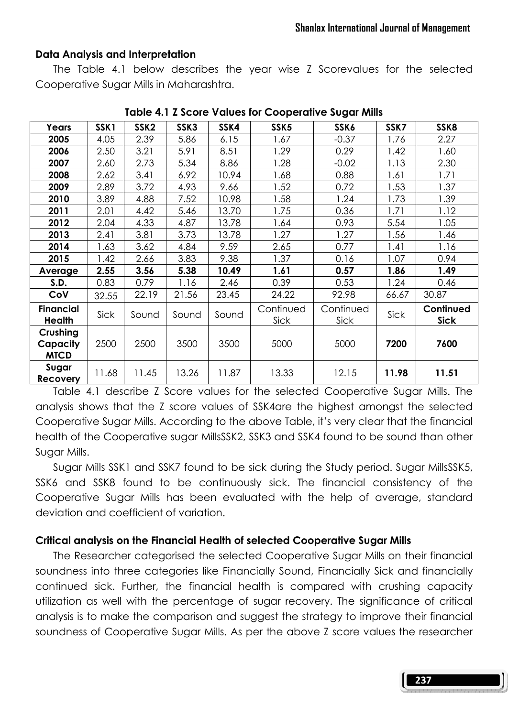### Data Analysis and Interpretation

 The Table 4.1 below describes the year wise Z Scorevalues for the selected Cooperative Sugar Mills in Maharashtra.

| Years                               | SSK1  | SSK <sub>2</sub> | SSK3  | SSK4  | SSK5              | SSK6              | SSK7  | SSK8                     |
|-------------------------------------|-------|------------------|-------|-------|-------------------|-------------------|-------|--------------------------|
| 2005                                | 4.05  | 2.39             | 5.86  | 6.15  | 1.67              | $-0.37$           | 1.76  | 2.27                     |
| 2006                                | 2.50  | 3.21             | 5.91  | 8.51  | 1.29              | 0.29              | 1.42  | 1.60                     |
| 2007                                | 2.60  | 2.73             | 5.34  | 8.86  | 1.28              | $-0.02$           | 1.13  | 2.30                     |
| 2008                                | 2.62  | 3.41             | 6.92  | 10.94 | 1.68              | 0.88              | 1.61  | 1.71                     |
| 2009                                | 2.89  | 3.72             | 4.93  | 9.66  | 1.52              | 0.72              | 1.53  | 1.37                     |
| 2010                                | 3.89  | 4.88             | 7.52  | 10.98 | 1.58              | 1.24              | 1.73  | 1.39                     |
| 2011                                | 2.01  | 4.42             | 5.46  | 13.70 | 1.75              | 0.36              | 1.71  | 1.12                     |
| 2012                                | 2.04  | 4.33             | 4.87  | 13.78 | 1.64              | 0.93              | 5.54  | 1.05                     |
| 2013                                | 2.41  | 3.81             | 3.73  | 13.78 | 1.27              | 1.27              | 1.56  | 1.46                     |
| 2014                                | 1.63  | 3.62             | 4.84  | 9.59  | 2.65              | 0.77              | 1.41  | 1.16                     |
| 2015                                | 1.42  | 2.66             | 3.83  | 9.38  | 1.37              | 0.16              | 1.07  | 0.94                     |
| Average                             | 2.55  | 3.56             | 5.38  | 10.49 | 1.61              | 0.57              | 1.86  | 1.49                     |
| S.D.                                | 0.83  | 0.79             | 1.16  | 2.46  | 0.39              | 0.53              | 1.24  | 0.46                     |
| CoV                                 | 32.55 | 22.19            | 21.56 | 23.45 | 24.22             | 92.98             | 66.67 | 30.87                    |
| <b>Financial</b><br>Health          | Sick  | Sound            | Sound | Sound | Continued<br>Sick | Continued<br>Sick | Sick  | Continued<br><b>Sick</b> |
| Crushing<br>Capacity<br><b>MICD</b> | 2500  | 2500             | 3500  | 3500  | 5000              | 5000              | 7200  | 7600                     |
| Sugar<br>Recovery                   | 11.68 | 11.45            | 13.26 | 11.87 | 13.33             | 12.15             | 11.98 | 11.51                    |

#### Table 4.1 Z Score Values for Cooperative Sugar Mills

 Table 4.1 describe Z Score values for the selected Cooperative Sugar Mills. The analysis shows that the Z score values of SSK4are the highest amongst the selected Cooperative Sugar Mills. According to the above Table, it's very clear that the financial health of the Cooperative sugar MillsSSK2, SSK3 and SSK4 found to be sound than other Sugar Mills.

 Sugar Mills SSK1 and SSK7 found to be sick during the Study period. Sugar MillsSSK5, SSK6 and SSK8 found to be continuously sick. The financial consistency of the Cooperative Sugar Mills has been evaluated with the help of average, standard deviation and coefficient of variation.

### Critical analysis on the Financial Health of selected Cooperative Sugar Mills

 The Researcher categorised the selected Cooperative Sugar Mills on their financial soundness into three categories like Financially Sound, Financially Sick and financially continued sick. Further, the financial health is compared with crushing capacity utilization as well with the percentage of sugar recovery. The significance of critical analysis is to make the comparison and suggest the strategy to improve their financial soundness of Cooperative Sugar Mills. As per the above Z score values the researcher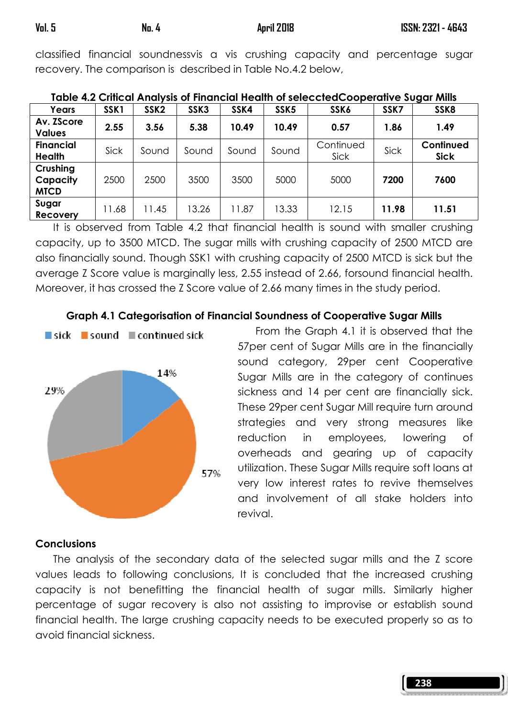classified financial soundnessvis a vis crushing capacity and percentage sugar recovery. The comparison is described in Table No.4.2 below,

| Years                               | SSK <sub>1</sub> | SSK <sub>2</sub> | SSK3  | SSK4  | SSK <sub>5</sub> | SSK6              | SSK7  | SSK8                     |
|-------------------------------------|------------------|------------------|-------|-------|------------------|-------------------|-------|--------------------------|
| Av. ZScore<br><b>Values</b>         | 2.55             | 3.56             | 5.38  | 10.49 | 10.49            | 0.57              | 1.86  | 1.49                     |
| <b>Financial</b><br><b>Health</b>   | Sick             | Sound            | Sound | Sound | Sound            | Continued<br>Sick | Sick  | Continued<br><b>Sick</b> |
| Crushing<br>Capacity<br><b>MTCD</b> | 2500             | 2500             | 3500  | 3500  | 5000             | 5000              | 7200  | 7600                     |
| Sugar<br>Recovery                   | 1.68             | 11.45            | 13.26 | 11.87 | 13.33            | 12.15             | 11.98 | 11.51                    |

|  | Table 4.2 Critical Analysis of Financial Health of selecctedCooperative Sugar Mills |  |  |
|--|-------------------------------------------------------------------------------------|--|--|
|--|-------------------------------------------------------------------------------------|--|--|

 It is observed from Table 4.2 that financial health is sound with smaller crushing capacity, up to 3500 MTCD. The sugar mills with crushing capacity of 2500 MTCD are also financially sound. Though SSK1 with crushing capacity of 2500 MTCD is sick but the average Z Score value is marginally less, 2.55 instead of 2.66, forsound financial health. Moreover, it has crossed the Z Score value of 2.66 many times in the study period.

### Graph 4.1 Categorisation of Financial Soundness of Cooperative Sugar Mills



From the Graph 4.1 it is observed that the 57per cent of Sugar Mills are in the financially sound category, 29per cent Cooperative Sugar Mills are in the category of continues sickness and 14 per cent are financially sick. These 29per cent Sugar Mill require turn around strategies and very strong measures like reduction in employees, lowering of overheads and gearing up of capacity utilization. These Sugar Mills require soft loans at very low interest rates to revive themselves and involvement of all stake holders into revival.

### **Conclusions**

 The analysis of the secondary data of the selected sugar mills and the Z score values leads to following conclusions, It is concluded that the increased crushing capacity is not benefitting the financial health of sugar mills. Similarly higher percentage of sugar recovery is also not assisting to improvise or establish sound financial health. The large crushing capacity needs to be executed properly so as to avoid financial sickness.